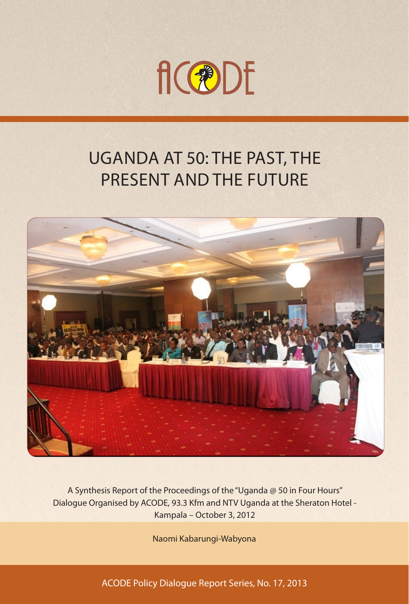

# UGANDA AT 50: THE PAST, THE PRESENT AND THE FUTURE



A Synthesis Report of the Proceedings of the "Uganda @ 50 in Four Hours" Dialogue Organised by ACODE, 93.3 Kfm and NTV Uganda at the Sheraton Hotel - Kampala – October 3, 2012

Naomi Kabarungi-Wabyona

ACODE Policy Dialogue Report Series, No. 17, 2013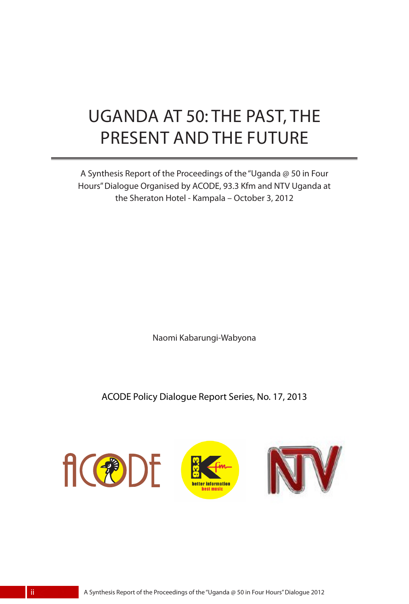# UGANDA AT 50: THE PAST, THE PRESENT AND THE FUTURE

A Synthesis Report of the Proceedings of the "Uganda @ 50 in Four Hours" Dialogue Organised by ACODE, 93.3 Kfm and NTV Uganda at the Sheraton Hotel - Kampala – October 3, 2012

Naomi Kabarungi-Wabyona

ACODE Policy Dialogue Report Series, No. 17, 2013

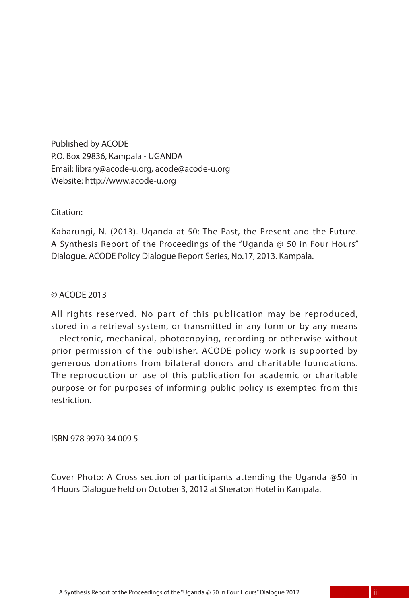Published by ACODE P.O. Box 29836, Kampala - UGANDA Email: library@acode-u.org, acode@acode-u.org Website: http://www.acode-u.org

Citation:

Kabarungi, N. (2013). Uganda at 50: The Past, the Present and the Future. A Synthesis Report of the Proceedings of the "Uganda @ 50 in Four Hours" Dialogue. ACODE Policy Dialogue Report Series, No.17, 2013. Kampala.

#### © ACODE 2013

All rights reserved. No part of this publication may be reproduced, stored in a retrieval system, or transmitted in any form or by any means – electronic, mechanical, photocopying, recording or otherwise without prior permission of the publisher. ACODE policy work is supported by generous donations from bilateral donors and charitable foundations. The reproduction or use of this publication for academic or charitable purpose or for purposes of informing public policy is exempted from this restriction.

ISBN 978 9970 34 009 5

Cover Photo: A Cross section of participants attending the Uganda @50 in 4 Hours Dialogue held on October 3, 2012 at Sheraton Hotel in Kampala.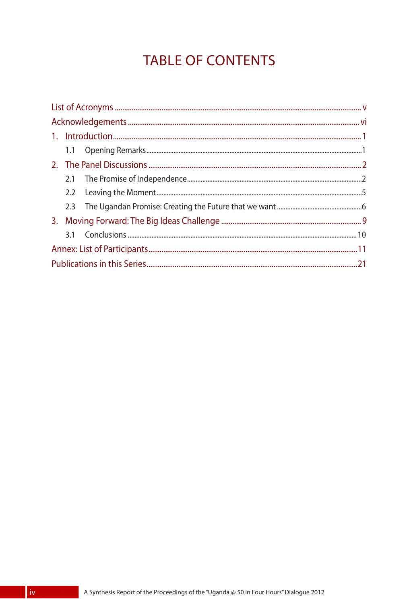## **TABLE OF CONTENTS**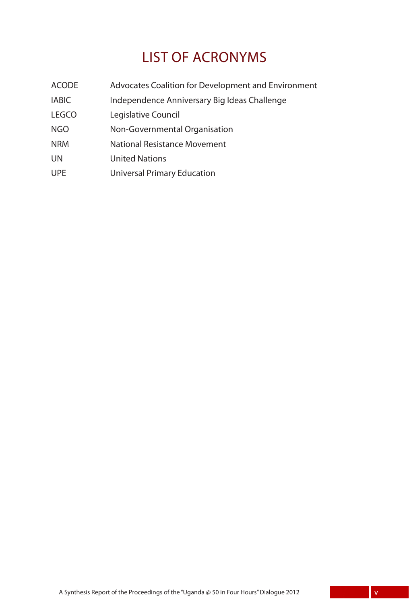### LIST OF ACRONYMS

- ACODE Advocates Coalition for Development and Environment
- IABIC Independence Anniversary Big Ideas Challenge
- LEGCO Legislative Council
- NGO Non-Governmental Organisation
- NRM National Resistance Movement
- UN United Nations
- UPE Universal Primary Education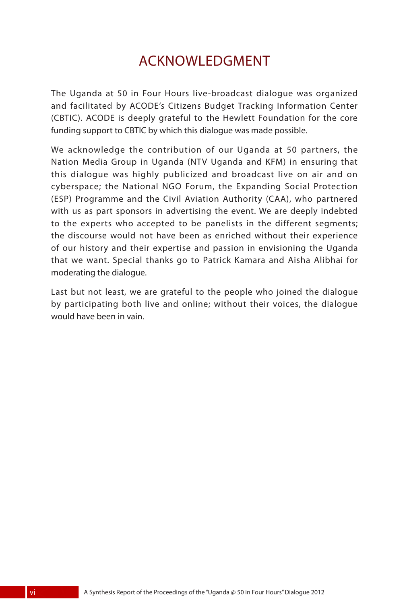### ACKNOWLEDGMENT

The Uganda at 50 in Four Hours live-broadcast dialogue was organized and facilitated by ACODE's Citizens Budget Tracking Information Center (CBTIC). ACODE is deeply grateful to the Hewlett Foundation for the core funding support to CBTIC by which this dialogue was made possible.

We acknowledge the contribution of our Uganda at 50 partners, the Nation Media Group in Uganda (NTV Uganda and KFM) in ensuring that this dialogue was highly publicized and broadcast live on air and on cyberspace; the National NGO Forum, the Expanding Social Protection (ESP) Programme and the Civil Aviation Authority (CAA), who partnered with us as part sponsors in advertising the event. We are deeply indebted to the experts who accepted to be panelists in the different segments; the discourse would not have been as enriched without their experience of our history and their expertise and passion in envisioning the Uganda that we want. Special thanks go to Patrick Kamara and Aisha Alibhai for moderating the dialogue.

Last but not least, we are grateful to the people who joined the dialogue by participating both live and online; without their voices, the dialogue would have been in vain.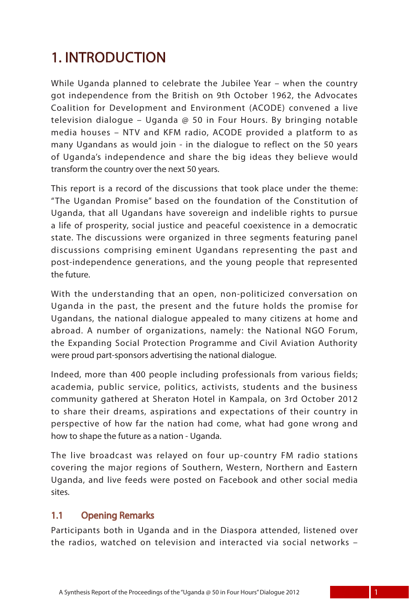## 1. INTRODUCTION

While Uganda planned to celebrate the Jubilee Year – when the country got independence from the British on 9th October 1962, the Advocates Coalition for Development and Environment (ACODE) convened a live television dialogue – Uganda  $\varpi$  50 in Four Hours. By bringing notable media houses – NTV and KFM radio, ACODE provided a platform to as many Ugandans as would join - in the dialogue to reflect on the 50 years of Uganda's independence and share the big ideas they believe would transform the country over the next 50 years.

This report is a record of the discussions that took place under the theme: "The Ugandan Promise" based on the foundation of the Constitution of Uganda, that all Ugandans have sovereign and indelible rights to pursue a life of prosperity, social justice and peaceful coexistence in a democratic state. The discussions were organized in three segments featuring panel discussions comprising eminent Ugandans representing the past and post-independence generations, and the young people that represented the future.

With the understanding that an open, non-politicized conversation on Uganda in the past, the present and the future holds the promise for Ugandans, the national dialogue appealed to many citizens at home and abroad. A number of organizations, namely: the National NGO Forum, the Expanding Social Protection Programme and Civil Aviation Authority were proud part-sponsors advertising the national dialogue.

Indeed, more than 400 people including professionals from various fields; academia, public service, politics, activists, students and the business community gathered at Sheraton Hotel in Kampala, on 3rd October 2012 to share their dreams, aspirations and expectations of their country in perspective of how far the nation had come, what had gone wrong and how to shape the future as a nation - Uganda.

The live broadcast was relayed on four up-country FM radio stations covering the major regions of Southern, Western, Northern and Eastern Uganda, and live feeds were posted on Facebook and other social media sites.

### 1.1 Opening Remarks

Participants both in Uganda and in the Diaspora attended, listened over the radios, watched on television and interacted via social networks –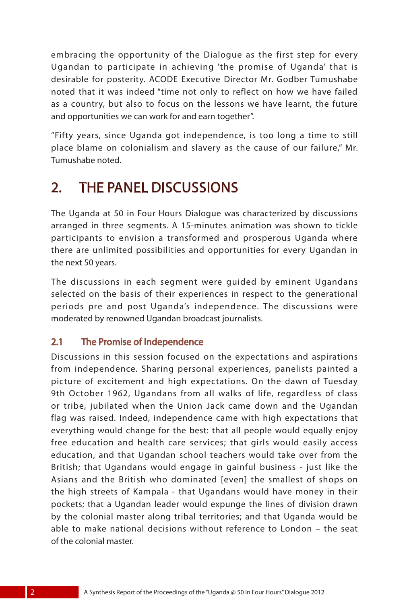embracing the opportunity of the Dialogue as the first step for every Ugandan to participate in achieving 'the promise of Uganda' that is desirable for posterity. ACODE Executive Director Mr. Godber Tumushabe noted that it was indeed "time not only to reflect on how we have failed as a country, but also to focus on the lessons we have learnt, the future and opportunities we can work for and earn together".

"Fifty years, since Uganda got independence, is too long a time to still place blame on colonialism and slavery as the cause of our failure," Mr. Tumushabe noted.

### 2. THE PANEL DISCUSSIONS

The Uganda at 50 in Four Hours Dialogue was characterized by discussions arranged in three segments. A 15-minutes animation was shown to tickle participants to envision a transformed and prosperous Uganda where there are unlimited possibilities and opportunities for every Ugandan in the next 50 years.

The discussions in each segment were guided by eminent Ugandans selected on the basis of their experiences in respect to the generational periods pre and post Uganda's independence. The discussions were moderated by renowned Ugandan broadcast journalists.

### 2.1 The Promise of Independence

Discussions in this session focused on the expectations and aspirations from independence. Sharing personal experiences, panelists painted a picture of excitement and high expectations. On the dawn of Tuesday 9th October 1962, Ugandans from all walks of life, regardless of class or tribe, jubilated when the Union Jack came down and the Ugandan flag was raised. Indeed, independence came with high expectations that everything would change for the best: that all people would equally enjoy free education and health care services; that girls would easily access education, and that Ugandan school teachers would take over from the British; that Ugandans would engage in gainful business - just like the Asians and the British who dominated [even] the smallest of shops on the high streets of Kampala - that Ugandans would have money in their pockets; that a Ugandan leader would expunge the lines of division drawn by the colonial master along tribal territories; and that Uganda would be able to make national decisions without reference to London – the seat of the colonial master.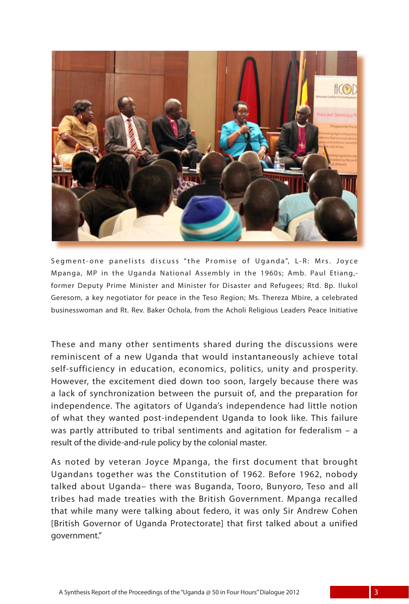

Segment-one panelists discuss "the Promise of Uganda", L-R: Mrs. Joyce Mpanga, MP in the Uganda National Assembly in the 1960s; Amb. Paul Etiang, former Deputy Prime Minister and Minister for Disaster and Refugees; Rtd. Bp. Ilukol Geresom, a key negotiator for peace in the Teso Region; Ms. Thereza Mbire, a celebrated businesswoman and Rt. Rev. Baker Ochola, from the Acholi Religious Leaders Peace Initiative

These and many other sentiments shared during the discussions were reminiscent of a new Uganda that would instantaneously achieve total self-sufficiency in education, economics, politics, unity and prosperity. However, the excitement died down too soon, largely because there was a lack of synchronization between the pursuit of, and the preparation for independence. The agitators of Uganda's independence had little notion of what they wanted post-independent Uganda to look like. This failure was partly attributed to tribal sentiments and agitation for federalism – a result of the divide-and-rule policy by the colonial master.

As noted by veteran Joyce Mpanga, the first document that brought Ugandans together was the Constitution of 1962. Before 1962, nobody talked about Uganda– there was Buganda, Tooro, Bunyoro, Teso and all tribes had made treaties with the British Government. Mpanga recalled that while many were talking about federo, it was only Sir Andrew Cohen [British Governor of Uganda Protectorate] that first talked about a unified government."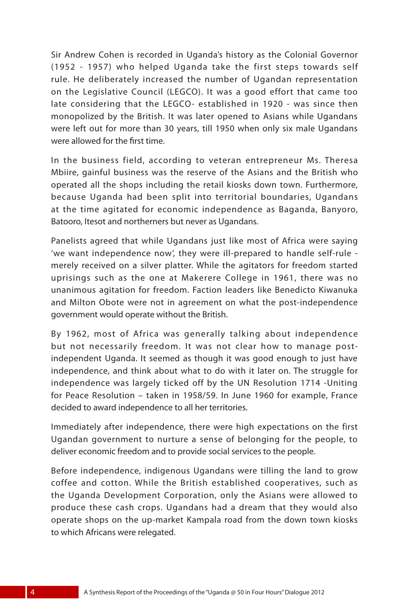Sir Andrew Cohen is recorded in Uganda's history as the Colonial Governor (1952 - 1957) who helped Uganda take the first steps towards self rule. He deliberately increased the number of Ugandan representation on the Legislative Council (LEGCO). It was a good effort that came too late considering that the LEGCO- established in 1920 - was since then monopolized by the British. It was later opened to Asians while Ugandans were left out for more than 30 years, till 1950 when only six male Ugandans were allowed for the first time.

In the business field, according to veteran entrepreneur Ms. Theresa Mbiire, gainful business was the reserve of the Asians and the British who operated all the shops including the retail kiosks down town. Furthermore, because Uganda had been split into territorial boundaries, Ugandans at the time agitated for economic independence as Baganda, Banyoro, Batooro, Itesot and northerners but never as Ugandans.

Panelists agreed that while Ugandans just like most of Africa were saying 'we want independence now', they were ill-prepared to handle self-rule merely received on a silver platter. While the agitators for freedom started uprisings such as the one at Makerere College in 1961, there was no unanimous agitation for freedom. Faction leaders like Benedicto Kiwanuka and Milton Obote were not in agreement on what the post-independence government would operate without the British.

By 1962, most of Africa was generally talking about independence but not necessarily freedom. It was not clear how to manage postindependent Uganda. It seemed as though it was good enough to just have independence, and think about what to do with it later on. The struggle for independence was largely ticked off by the UN Resolution 1714 -Uniting for Peace Resolution – taken in 1958/59. In June 1960 for example, France decided to award independence to all her territories.

Immediately after independence, there were high expectations on the first Ugandan government to nurture a sense of belonging for the people, to deliver economic freedom and to provide social services to the people.

Before independence, indigenous Ugandans were tilling the land to grow coffee and cotton. While the British established cooperatives, such as the Uganda Development Corporation, only the Asians were allowed to produce these cash crops. Ugandans had a dream that they would also operate shops on the up-market Kampala road from the down town kiosks to which Africans were relegated.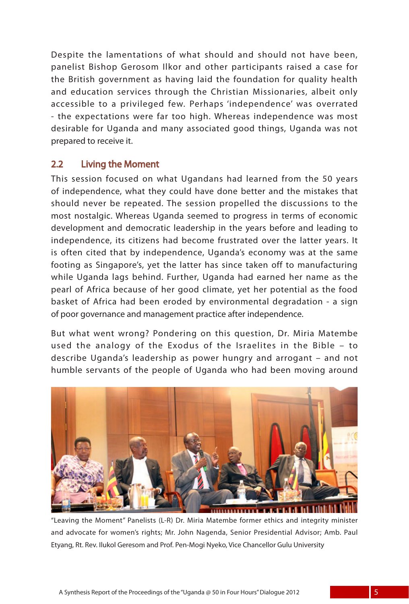Despite the lamentations of what should and should not have been, panelist Bishop Gerosom Ilkor and other participants raised a case for the British government as having laid the foundation for quality health and education services through the Christian Missionaries, albeit only accessible to a privileged few. Perhaps 'independence' was overrated - the expectations were far too high. Whereas independence was most desirable for Uganda and many associated good things, Uganda was not prepared to receive it.

#### 2.2 Living the Moment

This session focused on what Ugandans had learned from the 50 years of independence, what they could have done better and the mistakes that should never be repeated. The session propelled the discussions to the most nostalgic. Whereas Uganda seemed to progress in terms of economic development and democratic leadership in the years before and leading to independence, its citizens had become frustrated over the latter years. It is often cited that by independence, Uganda's economy was at the same footing as Singapore's, yet the latter has since taken off to manufacturing while Uganda lags behind. Further, Uganda had earned her name as the pearl of Africa because of her good climate, yet her potential as the food basket of Africa had been eroded by environmental degradation - a sign of poor governance and management practice after independence.

But what went wrong? Pondering on this question, Dr. Miria Matembe used the analogy of the Exodus of the Israelites in the Bible – to describe Uganda's leadership as power hungry and arrogant – and not humble servants of the people of Uganda who had been moving around



"Leaving the Moment" Panelists (L-R) Dr. Miria Matembe former ethics and integrity minister and advocate for women's rights; Mr. John Nagenda, Senior Presidential Advisor; Amb. Paul Etyang, Rt. Rev. Ilukol Geresom and Prof. Pen-Mogi Nyeko, Vice Chancellor Gulu University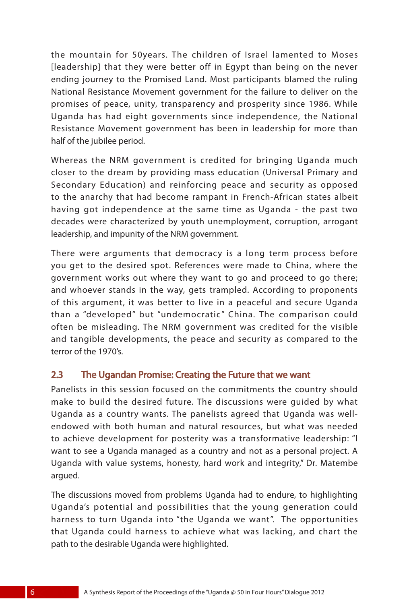the mountain for 50years. The children of Israel lamented to Moses [leadership] that they were better off in Egypt than being on the never ending journey to the Promised Land. Most participants blamed the ruling National Resistance Movement government for the failure to deliver on the promises of peace, unity, transparency and prosperity since 1986. While Uganda has had eight governments since independence, the National Resistance Movement government has been in leadership for more than half of the jubilee period.

Whereas the NRM government is credited for bringing Uganda much closer to the dream by providing mass education (Universal Primary and Secondary Education) and reinforcing peace and security as opposed to the anarchy that had become rampant in French-African states albeit having got independence at the same time as Uganda - the past two decades were characterized by youth unemployment, corruption, arrogant leadership, and impunity of the NRM government.

There were arguments that democracy is a long term process before you get to the desired spot. References were made to China, where the government works out where they want to go and proceed to go there; and whoever stands in the way, gets trampled. According to proponents of this argument, it was better to live in a peaceful and secure Uganda than a "developed" but "undemocratic" China. The comparison could often be misleading. The NRM government was credited for the visible and tangible developments, the peace and security as compared to the terror of the 1970's.

#### 2.3 The Ugandan Promise: Creating the Future that we want

Panelists in this session focused on the commitments the country should make to build the desired future. The discussions were guided by what Uganda as a country wants. The panelists agreed that Uganda was wellendowed with both human and natural resources, but what was needed to achieve development for posterity was a transformative leadership: "I want to see a Uganda managed as a country and not as a personal project. A Uganda with value systems, honesty, hard work and integrity," Dr. Matembe argued.

The discussions moved from problems Uganda had to endure, to highlighting Uganda's potential and possibilities that the young generation could harness to turn Uganda into "the Uganda we want". The opportunities that Uganda could harness to achieve what was lacking, and chart the path to the desirable Uganda were highlighted.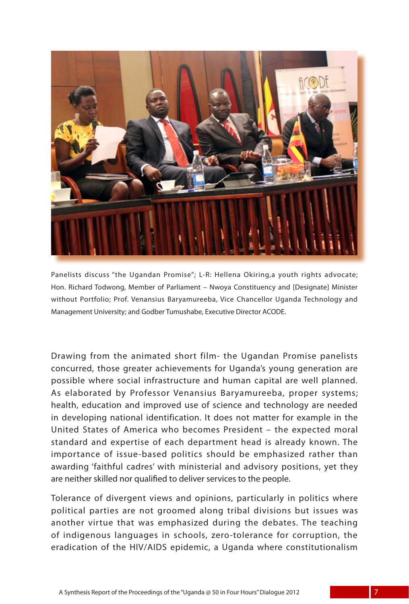

Panelists discuss "the Ugandan Promise"; L-R: Hellena Okiring,a youth rights advocate; Hon. Richard Todwong, Member of Parliament – Nwoya Constituency and [Designate] Minister without Portfolio; Prof. Venansius Baryamureeba, Vice Chancellor Uganda Technology and Management University; and Godber Tumushabe, Executive Director ACODE.

Drawing from the animated short film- the Ugandan Promise panelists concurred, those greater achievements for Uganda's young generation are possible where social infrastructure and human capital are well planned. As elaborated by Professor Venansius Baryamureeba, proper systems; health, education and improved use of science and technology are needed in developing national identification. It does not matter for example in the United States of America who becomes President – the expected moral standard and expertise of each department head is already known. The importance of issue-based politics should be emphasized rather than awarding 'faithful cadres' with ministerial and advisory positions, yet they are neither skilled nor qualified to deliver services to the people.

Tolerance of divergent views and opinions, particularly in politics where political parties are not groomed along tribal divisions but issues was another virtue that was emphasized during the debates. The teaching of indigenous languages in schools, zero-tolerance for corruption, the eradication of the HIV/AIDS epidemic, a Uganda where constitutionalism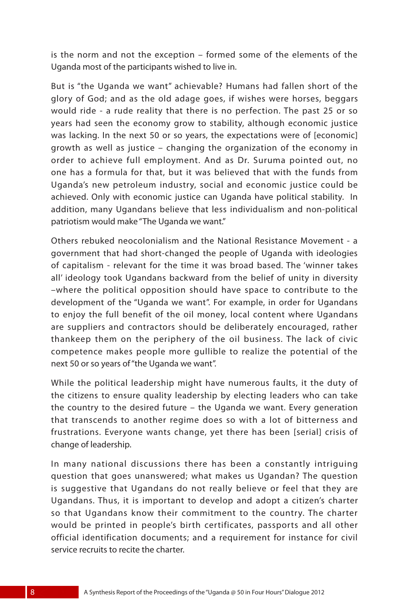is the norm and not the exception – formed some of the elements of the Uganda most of the participants wished to live in.

But is "the Uganda we want" achievable? Humans had fallen short of the glory of God; and as the old adage goes, if wishes were horses, beggars would ride - a rude reality that there is no perfection. The past 25 or so years had seen the economy grow to stability, although economic justice was lacking. In the next 50 or so years, the expectations were of [economic] growth as well as justice – changing the organization of the economy in order to achieve full employment. And as Dr. Suruma pointed out, no one has a formula for that, but it was believed that with the funds from Uganda's new petroleum industry, social and economic justice could be achieved. Only with economic justice can Uganda have political stability. In addition, many Ugandans believe that less individualism and non-political patriotism would make "The Uganda we want."

Others rebuked neocolonialism and the National Resistance Movement - a government that had short-changed the people of Uganda with ideologies of capitalism - relevant for the time it was broad based. The 'winner takes all' ideology took Ugandans backward from the belief of unity in diversity –where the political opposition should have space to contribute to the development of the "Uganda we want". For example, in order for Ugandans to enjoy the full benefit of the oil money, local content where Ugandans are suppliers and contractors should be deliberately encouraged, rather thankeep them on the periphery of the oil business. The lack of civic competence makes people more gullible to realize the potential of the next 50 or so years of "the Uganda we want".

While the political leadership might have numerous faults, it the duty of the citizens to ensure quality leadership by electing leaders who can take the country to the desired future – the Uganda we want. Every generation that transcends to another regime does so with a lot of bitterness and frustrations. Everyone wants change, yet there has been [serial] crisis of change of leadership.

In many national discussions there has been a constantly intriguing question that goes unanswered; what makes us Ugandan? The question is suggestive that Ugandans do not really believe or feel that they are Ugandans. Thus, it is important to develop and adopt a citizen's charter so that Ugandans know their commitment to the country. The charter would be printed in people's birth certificates, passports and all other official identification documents; and a requirement for instance for civil service recruits to recite the charter.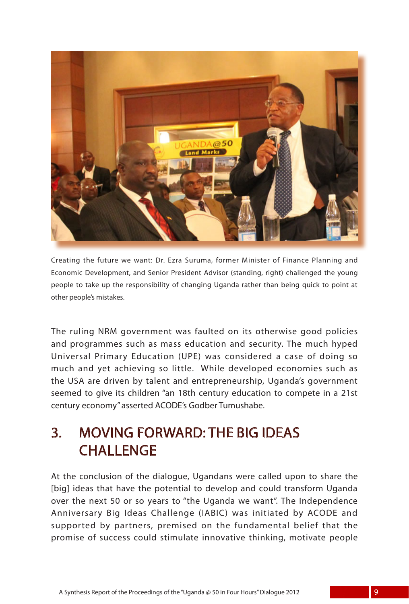

Creating the future we want: Dr. Ezra Suruma, former Minister of Finance Planning and Economic Development, and Senior President Advisor (standing, right) challenged the young people to take up the responsibility of changing Uganda rather than being quick to point at other people's mistakes.

The ruling NRM government was faulted on its otherwise good policies and programmes such as mass education and security. The much hyped Universal Primary Education (UPE) was considered a case of doing so much and yet achieving so little. While developed economies such as the USA are driven by talent and entrepreneurship, Uganda's government seemed to give its children "an 18th century education to compete in a 21st century economy" asserted ACODE's Godber Tumushabe.

### 3. MOVING FORWARD: THE BIG IDEAS **CHALLENGE**

At the conclusion of the dialogue, Ugandans were called upon to share the [big] ideas that have the potential to develop and could transform Uganda over the next 50 or so years to "the Uganda we want". The Independence Anniversary Big Ideas Challenge (IABIC) was initiated by ACODE and supported by partners, premised on the fundamental belief that the promise of success could stimulate innovative thinking, motivate people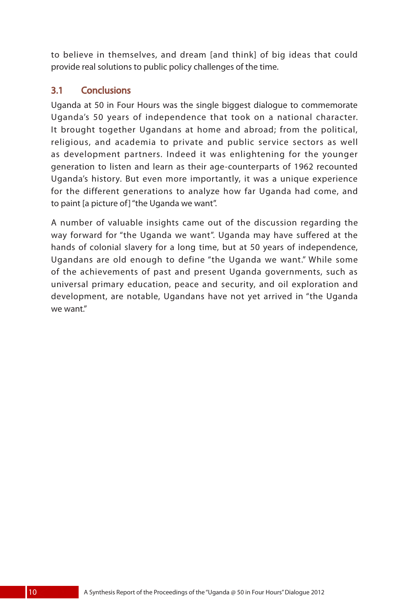to believe in themselves, and dream [and think] of big ideas that could provide real solutions to public policy challenges of the time.

### 3.1 Conclusions

Uganda at 50 in Four Hours was the single biggest dialogue to commemorate Uganda's 50 years of independence that took on a national character. It brought together Ugandans at home and abroad; from the political, religious, and academia to private and public service sectors as well as development partners. Indeed it was enlightening for the younger generation to listen and learn as their age-counterparts of 1962 recounted Uganda's history. But even more importantly, it was a unique experience for the different generations to analyze how far Uganda had come, and to paint [a picture of] "the Uganda we want".

A number of valuable insights came out of the discussion regarding the way forward for "the Uganda we want". Uganda may have suffered at the hands of colonial slavery for a long time, but at 50 years of independence, Ugandans are old enough to define "the Uganda we want." While some of the achievements of past and present Uganda governments, such as universal primary education, peace and security, and oil exploration and development, are notable, Ugandans have not yet arrived in "the Uganda we want."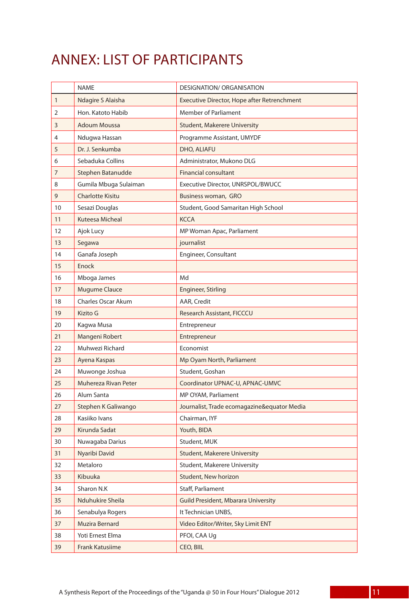### ANNEX: LIST OF PARTICIPANTS

|              | <b>NAME</b>               | <b>DESIGNATION/ ORGANISATION</b>            |
|--------------|---------------------------|---------------------------------------------|
| $\mathbf{1}$ | Ndagire S Alaisha         | Executive Director, Hope after Retrenchment |
| 2            | Hon. Katoto Habib         | <b>Member of Parliament</b>                 |
| 3            | <b>Adoum Moussa</b>       | <b>Student, Makerere University</b>         |
| 4            | Ndugwa Hassan             | Programme Assistant, UMYDF                  |
| 5            | Dr. J. Senkumba           | DHO, ALIAFU                                 |
| 6            | Sebaduka Collins          | Administrator, Mukono DLG                   |
| 7            | Stephen Batanudde         | <b>Financial consultant</b>                 |
| 8            | Gumila Mbuga Sulaiman     | Executive Director, UNRSPOL/BWUCC           |
| 9            | <b>Charlotte Kisitu</b>   | Business woman, GRO                         |
| 10           | Sesazi Douglas            | Student, Good Samaritan High School         |
| 11           | Kuteesa Micheal           | <b>KCCA</b>                                 |
| 12           | Ajok Lucy                 | MP Woman Apac, Parliament                   |
| 13           | Segawa                    | journalist                                  |
| 14           | Ganafa Joseph             | Engineer, Consultant                        |
| 15           | Enock                     |                                             |
| 16           | Mboga James               | Md                                          |
| 17           | <b>Mugume Clauce</b>      | <b>Engineer, Stirling</b>                   |
| 18           | <b>Charles Oscar Akum</b> | AAR, Credit                                 |
| 19           | Kizito G                  | Research Assistant, FICCCU                  |
| 20           | Kagwa Musa                | Entrepreneur                                |
| 21           | Mangeni Robert            | Entrepreneur                                |
| 22           | Muhwezi Richard           | Economist                                   |
| 23           | Ayena Kaspas              | Mp Oyam North, Parliament                   |
| 24           | Muwonge Joshua            | Student, Goshan                             |
| 25           | Muhereza Rivan Peter      | Coordinator UPNAC-U, APNAC-UMVC             |
| 26           | Alum Santa                | MP OYAM, Parliament                         |
| 27           | Stephen K Galiwango       | Journalist, Trade ecomagazine&equator Media |
| 28           | Kasiiko Ivans             | Chairman, IYF                               |
| 29           | Kirunda Sadat             | Youth, BIDA                                 |
| 30           | Nuwagaba Darius           | Student, MUK                                |
| 31           | Nyaribi David             | <b>Student, Makerere University</b>         |
| 32           | Metaloro                  | Student, Makerere University                |
| 33           | Kibuuka                   | Student, New horizon                        |
| 34           | Sharon N.K                | Staff, Parliament                           |
| 35           | Nduhukire Sheila          | <b>Guild President, Mbarara University</b>  |
| 36           | Senabulya Rogers          | It Technician UNBS,                         |
| 37           | Muzira Bernard            | Video Editor/Writer, Sky Limit ENT          |
| 38           | Yoti Ernest Elma          | PFOI, CAA Uq                                |
| 39           | Frank Katusiime           | CEO, BIIL                                   |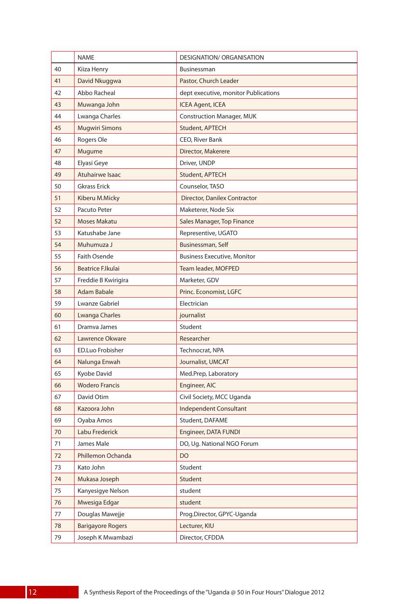|    | <b>NAME</b>              | DESIGNATION/ ORGANISATION            |
|----|--------------------------|--------------------------------------|
| 40 | Kiiza Henry              | Businessman                          |
| 41 | David Nkuggwa            | Pastor, Church Leader                |
| 42 | Abbo Racheal             | dept executive, monitor Publications |
| 43 | Muwanga John             | <b>ICEA Agent, ICEA</b>              |
| 44 | Lwanga Charles           | <b>Construction Manager, MUK</b>     |
| 45 | <b>Mugwiri Simons</b>    | Student, APTECH                      |
| 46 | Rogers Ole               | CEO, River Bank                      |
| 47 | Mugume                   | Director, Makerere                   |
| 48 | Elyasi Geye              | Driver, UNDP                         |
| 49 | Atuhairwe Isaac          | Student, APTECH                      |
| 50 | <b>Gkrass Erick</b>      | Counselor, TASO                      |
| 51 | Kiberu M.Micky           | <b>Director, Danilex Contractor</b>  |
| 52 | Pacuto Peter             | Maketerer, Node Six                  |
| 52 | Moses Makatu             | Sales Manager, Top Finance           |
| 53 | Katushabe Jane           | Representive, UGATO                  |
| 54 | Muhumuza J               | Businessman, Self                    |
| 55 | Faith Osende             | <b>Business Executive, Monitor</b>   |
| 56 | Beatrice F.Ikulai        | Team leader, MOFPED                  |
| 57 | Freddie B Kwirigira      | Marketer, GDV                        |
| 58 | Adam Babale              | Princ. Economist, LGFC               |
| 59 | Lwanze Gabriel           | Electrician                          |
| 60 | <b>Lwanga Charles</b>    | journalist                           |
| 61 | Dramva James             | Student                              |
| 62 | Lawrence Okware          | Researcher                           |
| 63 | <b>ED.Luo Frobisher</b>  | Technocrat, NPA                      |
| 64 | Nalunga Enwah            | Journalist, UMCAT                    |
| 65 | Kyobe David              | Med.Prep, Laboratory                 |
| 66 | <b>Wodero Francis</b>    | Engineer, AIC                        |
| 67 | David Otim               | Civil Society, MCC Uganda            |
| 68 | Kazoora John             | Independent Consultant               |
| 69 | Oyaba Amos               | Student, DAFAME                      |
| 70 | Labu Frederick           | Engineer, DATA FUNDI                 |
| 71 | James Male               | DO, Ug. National NGO Forum           |
| 72 | Phillemon Ochanda        | DO                                   |
| 73 | Kato John                | Student                              |
| 74 | Mukasa Joseph            | Student                              |
| 75 | Kanyesigye Nelson        | student                              |
| 76 | Mwesiga Edgar            | student                              |
| 77 | Douglas Mawejje          | Prog.Director, GPYC-Uganda           |
| 78 | <b>Barigayore Rogers</b> | Lecturer, KIU                        |
| 79 | Joseph K Mwambazi        | Director, CFDDA                      |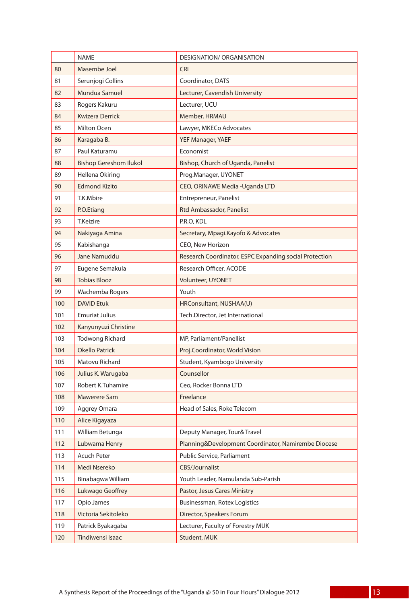|     | <b>NAME</b>                   | <b>DESIGNATION/ ORGANISATION</b>                       |
|-----|-------------------------------|--------------------------------------------------------|
| 80  | Masembe Joel                  | <b>CRI</b>                                             |
| 81  | Serunjogi Collins             | Coordinator, DATS                                      |
| 82  | Mundua Samuel                 | Lecturer, Cavendish University                         |
| 83  | Rogers Kakuru                 | Lecturer, UCU                                          |
| 84  | <b>Kwizera Derrick</b>        | Member, HRMAU                                          |
| 85  | Milton Ocen                   | Lawyer, MKECo Advocates                                |
| 86  | Karagaba B.                   | YEF Manager, YAEF                                      |
| 87  | Paul Katuramu                 | Economist                                              |
| 88  | <b>Bishop Gereshom Ilukol</b> | Bishop, Church of Uganda, Panelist                     |
| 89  | Hellena Okiring               | Prog.Manager, UYONET                                   |
| 90  | <b>Edmond Kizito</b>          | CEO, ORINAWE Media - Uganda LTD                        |
| 91  | T.K.Mbire                     | Entrepreneur, Panelist                                 |
| 92  | P.O.Etiang                    | <b>Rtd Ambassador, Panelist</b>                        |
| 93  | <b>T.Keizire</b>              | P.R.O, KDL                                             |
| 94  | Nakiyaga Amina                | Secretary, Mpagi.Kayofo & Advocates                    |
| 95  | Kabishanga                    | CEO, New Horizon                                       |
| 96  | Jane Namuddu                  | Research Coordinator, ESPC Expanding social Protection |
| 97  | Eugene Semakula               | Research Officer, ACODE                                |
| 98  | <b>Tobias Blooz</b>           | <b>Volunteer, UYONET</b>                               |
| 99  | Wachemba Rogers               | Youth                                                  |
| 100 | <b>DAVID Etuk</b>             | HRConsultant, NUSHAA(U)                                |
| 101 | <b>Emuriat Julius</b>         | Tech.Director, Jet International                       |
| 102 | Kanyunyuzi Christine          |                                                        |
| 103 | Todwong Richard               | MP, Parliament/Panellist                               |
| 104 | <b>Okello Patrick</b>         | Proj.Coordinator, World Vision                         |
| 105 | Matovu Richard                | Student, Kyambogo University                           |
| 106 | Julius K. Warugaba            | Counsellor                                             |
| 107 | Robert K.Tuhamire             | Ceo, Rocker Bonna LTD                                  |
| 108 | Mawerere Sam                  | Freelance                                              |
| 109 | Aggrey Omara                  | Head of Sales, Roke Telecom                            |
| 110 | Alice Kigayaza                |                                                        |
| 111 | William Betunga               | Deputy Manager, Tour& Travel                           |
| 112 | Lubwama Henry                 | Planning&Development Coordinator, Namirembe Diocese    |
| 113 | Acuch Peter                   | Public Service, Parliament                             |
| 114 | Medi Nsereko                  | CBS/Journalist                                         |
| 115 | Binabagwa William             | Youth Leader, Namulanda Sub-Parish                     |
| 116 | Lukwago Geoffrey              | Pastor, Jesus Cares Ministry                           |
| 117 | Opio James                    | Businessman, Rotex Logistics                           |
| 118 | Victoria Sekitoleko           | Director, Speakers Forum                               |
| 119 | Patrick Byakagaba             | Lecturer, Faculty of Forestry MUK                      |
| 120 | Tindiwensi Isaac              | Student, MUK                                           |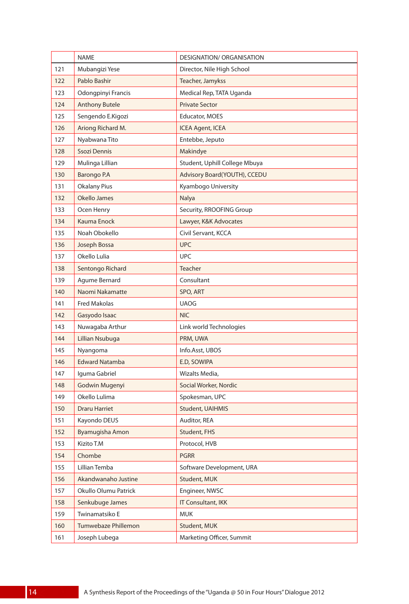|     | <b>NAME</b>           | DESIGNATION/ ORGANISATION     |
|-----|-----------------------|-------------------------------|
| 121 | Mubangizi Yese        | Director, Nile High School    |
| 122 | Pablo Bashir          | Teacher, Jamykss              |
| 123 | Odongpinyi Francis    | Medical Rep, TATA Uganda      |
| 124 | <b>Anthony Butele</b> | <b>Private Sector</b>         |
| 125 | Sengendo E.Kigozi     | Educator, MOES                |
| 126 | Ariong Richard M.     | <b>ICEA Agent, ICEA</b>       |
| 127 | Nyabwana Tito         | Entebbe, Jeputo               |
| 128 | Ssozi Dennis          | Makindye                      |
| 129 | Mulinga Lillian       | Student, Uphill College Mbuya |
| 130 | Barongo P.A           | Advisory Board(YOUTH), CCEDU  |
| 131 | <b>Okalany Pius</b>   | Kyambogo University           |
| 132 | Okello James          | Nalya                         |
| 133 | Ocen Henry            | Security, RROOFING Group      |
| 134 | Kauma Enock           | Lawyer, K&K Advocates         |
| 135 | Noah Obokello         | Civil Servant, KCCA           |
| 136 | Joseph Bossa          | <b>UPC</b>                    |
| 137 | Okello Lulia          | <b>UPC</b>                    |
| 138 | Sentongo Richard      | <b>Teacher</b>                |
| 139 | Agume Bernard         | Consultant                    |
| 140 | Naomi Nakamatte       | SPO, ART                      |
| 141 | <b>Fred Makolas</b>   | <b>UAOG</b>                   |
| 142 | Gasyodo Isaac         | <b>NIC</b>                    |
| 143 | Nuwagaba Arthur       | Link world Technologies       |
| 144 | Lillian Nsubuga       | PRM, UWA                      |
| 145 | Nyangoma              | Info.Asst, UBOS               |
| 146 | <b>Edward Natamba</b> | E.D, SOWIPA                   |
| 147 | Iguma Gabriel         | Wizalts Media,                |
| 148 | Godwin Mugenyi        | Social Worker, Nordic         |
| 149 | Okello Lulima         | Spokesman, UPC                |
| 150 | <b>Draru Harriet</b>  | <b>Student, UAIHMIS</b>       |
| 151 | Kayondo DEUS          | Auditor, REA                  |
| 152 | Byamugisha Amon       | Student, FHS                  |
| 153 | Kizito T.M            | Protocol, HVB                 |
| 154 | Chombe                | <b>PGRR</b>                   |
| 155 | Lillian Temba         | Software Development, URA     |
| 156 | Akandwanaho Justine   | Student, MUK                  |
| 157 | Okullo Olumu Patrick  | Engineer, NWSC                |
| 158 | Senkubuge James       | <b>IT Consultant, IKK</b>     |
| 159 | Twinamatsiko E        | <b>MUK</b>                    |
| 160 | Tumwebaze Phillemon   | Student, MUK                  |
| 161 | Joseph Lubega         | Marketing Officer, Summit     |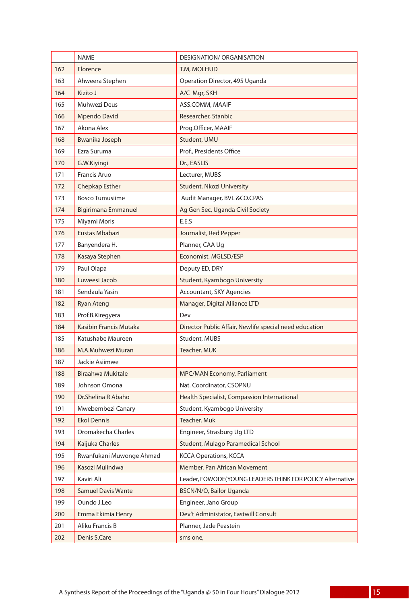|     | <b>NAME</b>                | DESIGNATION/ ORGANISATION                                 |
|-----|----------------------------|-----------------------------------------------------------|
| 162 | Florence                   | T.M, MOLHUD                                               |
| 163 | Ahweera Stephen            | Operation Director, 495 Uganda                            |
| 164 | Kizito J                   | A/C Mgr, SKH                                              |
| 165 | Muhwezi Deus               | ASS.COMM, MAAIF                                           |
| 166 | <b>Mpendo David</b>        | Researcher, Stanbic                                       |
| 167 | Akona Alex                 | Prog.Officer, MAAIF                                       |
| 168 | Bwanika Joseph             | Student, UMU                                              |
| 169 | Ezra Suruma                | Prof., Presidents Office                                  |
| 170 | G.W.Kiyingi                | Dr., EASLIS                                               |
| 171 | <b>Francis Aruo</b>        | Lecturer, MUBS                                            |
| 172 | Chepkap Esther             | Student, Nkozi University                                 |
| 173 | <b>Bosco Tumusiime</b>     | Audit Manager, BVL & CO.CPAS                              |
| 174 | <b>Bigirimana Emmanuel</b> | Ag Gen Sec, Uganda Civil Society                          |
| 175 | Miyami Moris               | E.E.S                                                     |
| 176 | Eustas Mbabazi             | Journalist, Red Pepper                                    |
| 177 | Banyendera H.              | Planner, CAA Uq                                           |
| 178 | Kasaya Stephen             | Economist, MGLSD/ESP                                      |
| 179 | Paul Olapa                 | Deputy ED, DRY                                            |
| 180 | Luweesi Jacob              | Student, Kyambogo University                              |
| 181 | Sendaula Yasin             | <b>Accountant, SKY Agencies</b>                           |
| 182 | <b>Ryan Ateng</b>          | Manager, Digital Alliance LTD                             |
| 183 | Prof.B.Kiregyera           | Dev                                                       |
| 184 | Kasibin Francis Mutaka     | Director Public Affair, Newlife special need education    |
| 185 | Katushabe Maureen          | Student, MUBS                                             |
| 186 | M.A.Muhwezi Muran          | Teacher, MUK                                              |
| 187 | Jackie Asiimwe             |                                                           |
| 188 | Biraahwa Mukitale          | MPC/MAN Economy, Parliament                               |
| 189 | Johnson Omona              | Nat. Coordinator, CSOPNU                                  |
| 190 | Dr.Shelina R Abaho         | Health Specialist, Compassion International               |
| 191 | Mwebembezi Canary          | Student, Kyambogo University                              |
| 192 | Ekol Dennis                | Teacher, Muk                                              |
| 193 | Oromakecha Charles         | Engineer, Strasburg Ug LTD                                |
| 194 | Kaijuka Charles            | Student, Mulago Paramedical School                        |
| 195 | Rwanfukani Muwonge Ahmad   | <b>KCCA Operations, KCCA</b>                              |
| 196 | Kasozi Mulindwa            | Member, Pan African Movement                              |
| 197 | Kaviri Ali                 | Leader, FOWODE(YOUNG LEADERS THINK FOR POLICY Alternative |
| 198 | <b>Samuel Davis Wante</b>  | BSCN/N/O, Bailor Uganda                                   |
| 199 | Oundo J.Leo                | Engineer, Jano Group                                      |
| 200 | Emma Ekimia Henry          | Dev't Administator, Eastwill Consult                      |
| 201 | Aliku Francis B            | Planner, Jade Peastein                                    |
| 202 | Denis S.Care               | sms one,                                                  |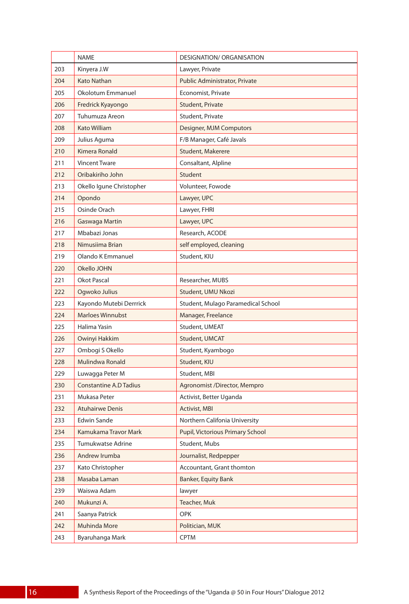|     | <b>NAME</b>                   | <b>DESIGNATION/ ORGANISATION</b>   |
|-----|-------------------------------|------------------------------------|
| 203 | Kinyera J.W                   | Lawyer, Private                    |
| 204 | Kato Nathan                   | Public Administrator, Private      |
| 205 | Okolotum Emmanuel             | Economist, Private                 |
| 206 | Fredrick Kyayongo             | Student, Private                   |
| 207 | Tuhumuza Areon                | Student, Private                   |
| 208 | <b>Kato William</b>           | Designer, MJM Computors            |
| 209 | Julius Aguma                  | F/B Manager, Café Javals           |
| 210 | Kimera Ronald                 | Student, Makerere                  |
| 211 | <b>Vincent Tware</b>          | Consaltant, Alpline                |
| 212 | Oribakiriho John              | Student                            |
| 213 | Okello Igune Christopher      | Volunteer, Fowode                  |
| 214 | Opondo                        | Lawyer, UPC                        |
| 215 | Osinde Orach                  | Lawyer, FHRI                       |
| 216 | Gaswaga Martin                | Lawyer, UPC                        |
| 217 | Mbabazi Jonas                 | Research, ACODE                    |
| 218 | Nimusiima Brian               | self employed, cleaning            |
| 219 | Olando K Emmanuel             | Student, KIU                       |
| 220 | Okello JOHN                   |                                    |
| 221 | Okot Pascal                   | Researcher, MUBS                   |
| 222 | Ogwoko Julius                 | Student, UMU Nkozi                 |
| 223 | Kayondo Mutebi Derrrick       | Student, Mulago Paramedical School |
| 224 | <b>Marloes Winnubst</b>       | Manager, Freelance                 |
| 225 | Halima Yasin                  | Student, UMEAT                     |
| 226 | Owinyi Hakkim                 | Student, UMCAT                     |
| 227 | Ombogi S Okello               | Student, Kyambogo                  |
| 228 | Mulindwa Ronald               | Student, KIU                       |
| 229 | Luwagga Peter M               | Student, MBI                       |
| 230 | <b>Constantine A.D Tadius</b> | Agronomist /Director, Mempro       |
| 231 | Mukasa Peter                  | Activist, Better Uganda            |
| 232 | Atuhairwe Denis               | <b>Activist, MBI</b>               |
| 233 | Edwin Sande                   | Northern Califonia University      |
| 234 | Kamukama Travor Mark          | Pupil, Victorious Primary School   |
| 235 | Tumukwatse Adrine             | Student, Mubs                      |
| 236 | Andrew Irumba                 | Journalist, Redpepper              |
| 237 | Kato Christopher              | Accountant, Grant thomton          |
| 238 | Masaba Laman                  | Banker, Equity Bank                |
| 239 | Waiswa Adam                   | lawyer                             |
| 240 | Mukunzi A.                    | Teacher, Muk                       |
| 241 | Saanya Patrick                | <b>OPK</b>                         |
| 242 | Muhinda More                  | Politician, MUK                    |
| 243 | Byaruhanga Mark               | <b>CPTM</b>                        |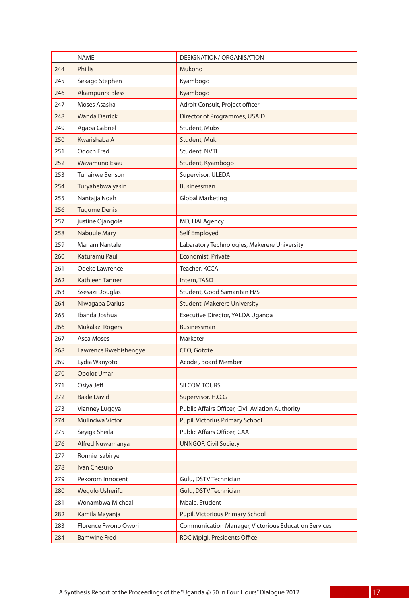|     | <b>NAME</b>             | <b>DESIGNATION/ ORGANISATION</b>                            |
|-----|-------------------------|-------------------------------------------------------------|
| 244 | <b>Phillis</b>          | Mukono                                                      |
| 245 | Sekago Stephen          | Kyambogo                                                    |
| 246 | <b>Akampurira Bless</b> | Kyambogo                                                    |
| 247 | Moses Asasira           | Adroit Consult, Project officer                             |
| 248 | <b>Wanda Derrick</b>    | Director of Programmes, USAID                               |
| 249 | Agaba Gabriel           | Student, Mubs                                               |
| 250 | Kwarishaba A            | Student, Muk                                                |
| 251 | Odoch Fred              | Student, NVTI                                               |
| 252 | <b>Wavamuno Esau</b>    | Student, Kyambogo                                           |
| 253 | Tuhairwe Benson         | Supervisor, ULEDA                                           |
| 254 | Turyahebwa yasin        | <b>Businessman</b>                                          |
| 255 | Nantajja Noah           | Global Marketing                                            |
| 256 | <b>Tugume Denis</b>     |                                                             |
| 257 | justine Ojangole        | MD, HAI Agency                                              |
| 258 | <b>Nabuule Mary</b>     | Self Employed                                               |
| 259 | Mariam Nantale          | Labaratory Technologies, Makerere University                |
| 260 | Katuramu Paul           | <b>Economist, Private</b>                                   |
| 261 | Odeke Lawrence          | Teacher, KCCA                                               |
| 262 | Kathleen Tanner         | Intern, TASO                                                |
| 263 | Ssesazi Douglas         | Student, Good Samaritan H/S                                 |
| 264 | Niwagaba Darius         | <b>Student, Makerere University</b>                         |
| 265 | Ibanda Joshua           | Executive Director, YALDA Uganda                            |
| 266 | Mukalazi Rogers         | Businessman                                                 |
| 267 | Asea Moses              | Marketer                                                    |
| 268 | Lawrence Rwebishengye   | CEO, Gotote                                                 |
| 269 | Lydia Wanyoto           | Acode, Board Member                                         |
| 270 | Opolot Umar             |                                                             |
| 271 | Osiya Jeff              | <b>SILCOM TOURS</b>                                         |
| 272 | <b>Baale David</b>      | Supervisor, H.O.G                                           |
| 273 | Vianney Luggya          | Public Affairs Officer, Civil Aviation Authority            |
| 274 | Mulindwa Victor         | Pupil, Victorius Primary School                             |
| 275 | Seyiga Sheila           | Public Affairs Officer, CAA                                 |
| 276 | Alfred Nuwamanya        | <b>UNNGOF, Civil Society</b>                                |
| 277 | Ronnie Isabirye         |                                                             |
| 278 | Ivan Chesuro            |                                                             |
| 279 | Pekorom Innocent        | Gulu, DSTV Technician                                       |
| 280 | Wegulo Usherifu         | Gulu, DSTV Technician                                       |
| 281 | Wonambwa Micheal        | Mbale, Student                                              |
| 282 | Kamila Mayanja          | Pupil, Victorious Primary School                            |
| 283 | Florence Fwono Owori    | <b>Communication Manager, Victorious Education Services</b> |
| 284 | <b>Bamwine Fred</b>     | RDC Mpigi, Presidents Office                                |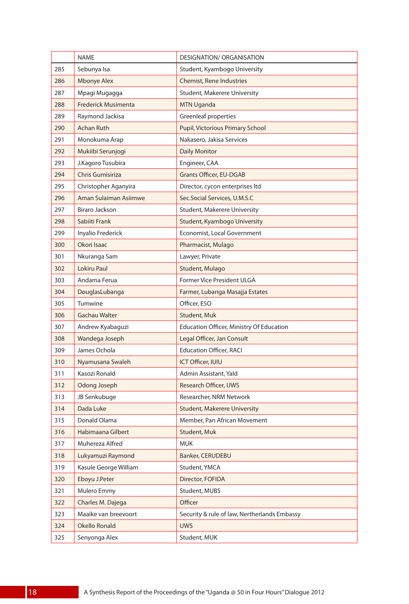|     | <b>NAME</b>                | DESIGNATION/ ORGANISATION                    |
|-----|----------------------------|----------------------------------------------|
| 285 | Sebunya Isa                | Student, Kyambogo University                 |
| 286 | <b>Mbonye Alex</b>         | <b>Chemist, Rene Industries</b>              |
| 287 | Mpagi Mugagga              | Student, Makerere University                 |
| 288 | <b>Frederick Musimenta</b> | <b>MTN Uganda</b>                            |
| 289 | Raymond Jackisa            | Greenleaf properties                         |
| 290 | <b>Achan Ruth</b>          | Pupil, Victorious Primary School             |
| 291 | Monokuma Arap              | Nakasero, Jakisa Services                    |
| 292 | Mukiibi Serunjogi          | <b>Daily Monitor</b>                         |
| 293 | J.Kagoro Tusubira          | Engineer, CAA                                |
| 294 | Chris Gumisiriza           | <b>Grants Officer, EU-DGAB</b>               |
| 295 | Christopher Aganyira       | Director, cycon enterprises ltd              |
| 296 | Aman Sulaiman Asiimwe      | Sec.Social Services, U.M.S.C                 |
| 297 | Biraro Jackson             | <b>Student, Makerere University</b>          |
| 298 | Sabiiti Frank              | Student, Kyambogo University                 |
| 299 | Inyalio Frederick          | Economist, Local Government                  |
| 300 | Okori Isaac                | Pharmacist, Mulago                           |
| 301 | Nkuranga Sam               | Lawyer, Private                              |
| 302 | Lokiru Paul                | Student, Mulago                              |
| 303 | Andama Ferua               | <b>Former Vice President ULGA</b>            |
| 304 | DouglasLubanga             | Farmer, Lubanga Masajja Estates              |
| 305 | Tumwine                    | Officer, ESO                                 |
| 306 | Gachau Walter              | Student, Muk                                 |
| 307 | Andrew Kyabaguzi           | Education Officer, Ministry Of Education     |
| 308 | Wandega Joseph             | Legal Officer, Jan Consult                   |
| 309 | James Ochola               | <b>Education Officer, RACI</b>               |
| 310 | Nyamusana Swaleh           | <b>ICT Officer, IUIU</b>                     |
| 311 | Kasozi Ronald              | Admin Assistant, Yald                        |
| 312 | Odong Joseph               | Research Officer, UWS                        |
| 313 | JB Senkubuge               | Researcher, NRM Network                      |
| 314 | Dada Luke                  | <b>Student, Makerere University</b>          |
| 315 | Donald Olama               | Member, Pan African Movement                 |
| 316 | Habimaana Gilbert          | Student, Muk                                 |
| 317 | Muhereza Alfred            | <b>MUK</b>                                   |
| 318 | Lukyamuzi Raymond          | Banker, CERUDEBU                             |
| 319 | Kasule George William      | Student, YMCA                                |
| 320 | Eboyu J.Peter              | Director, FOFIDA                             |
| 321 | Mulero Emmy                | Student, MUBS                                |
| 322 | Charles M. Dajega          | Officer                                      |
| 323 | Maaike van breevoort       | Security & rule of law, Nertherlands Embassy |
| 324 | Okello Ronald              | <b>UWS</b>                                   |
| 325 | Senyonga Alex              | Student, MUK                                 |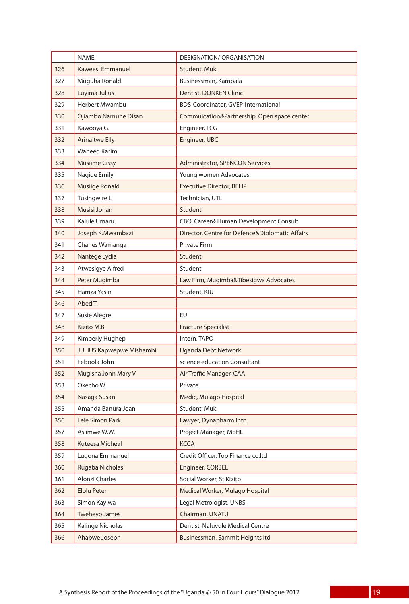|     | <b>NAME</b>                     | DESIGNATION/ ORGANISATION                       |
|-----|---------------------------------|-------------------------------------------------|
| 326 | Kaweesi Emmanuel                | Student, Muk                                    |
| 327 | Muguha Ronald                   | Businessman, Kampala                            |
| 328 | Luyima Julius                   | Dentist, DONKEN Clinic                          |
| 329 | Herbert Mwambu                  | BDS-Coordinator, GVEP-International             |
| 330 | Ojiambo Namune Disan            | Commuication&Partnership, Open space center     |
| 331 | Kawooya G.                      | Engineer, TCG                                   |
| 332 | <b>Arinaitwe Elly</b>           | Engineer, UBC                                   |
| 333 | <b>Waheed Karim</b>             |                                                 |
| 334 | <b>Musiime Cissy</b>            | <b>Administrator, SPENCON Services</b>          |
| 335 | Nagide Emily                    | Young women Advocates                           |
| 336 | Musiige Ronald                  | <b>Executive Director, BELIP</b>                |
| 337 | Tusingwire L                    | Technician, UTL                                 |
| 338 | Musisi Jonan                    | Student                                         |
| 339 | Kalule Umaru                    | CBO, Career& Human Development Consult          |
| 340 | Joseph K.Mwambazi               | Director, Centre for Defence&Diplomatic Affairs |
| 341 | Charles Wamanga                 | <b>Private Firm</b>                             |
| 342 | Nantege Lydia                   | Student,                                        |
| 343 | Atwesigye Alfred                | Student                                         |
| 344 | Peter Mugimba                   | Law Firm, Mugimba&Tibesigwa Advocates           |
| 345 | Hamza Yasin                     | Student, KIU                                    |
| 346 | Abed T.                         |                                                 |
| 347 | Susie Alegre                    | EU                                              |
| 348 | Kizito M.B                      | <b>Fracture Specialist</b>                      |
| 349 | Kimberly Hughep                 | Intern, TAPO                                    |
| 350 | <b>JULIUS Kapwepwe Mishambi</b> | <b>Uganda Debt Network</b>                      |
| 351 | Feboola John                    | science education Consultant                    |
| 352 | Mugisha John Mary V             | Air Traffic Manager, CAA                        |
| 353 | Okecho W.                       | Private                                         |
| 354 | Nasaga Susan                    | Medic, Mulago Hospital                          |
| 355 | Amanda Banura Joan              | Student, Muk                                    |
| 356 | Lele Simon Park                 | Lawyer, Dynapharm Intn.                         |
| 357 | Asiimwe W.W.                    | Project Manager, MEHL                           |
| 358 | Kuteesa Micheal                 | <b>KCCA</b>                                     |
| 359 | Lugona Emmanuel                 | Credit Officer, Top Finance co.ltd              |
| 360 | Rugaba Nicholas                 | Engineer, CORBEL                                |
| 361 | Alonzi Charles                  | Social Worker, St.Kizito                        |
| 362 | <b>Elolu Peter</b>              | Medical Worker, Mulago Hospital                 |
| 363 | Simon Kayiwa                    | Legal Metrologist, UNBS                         |
| 364 | Tweheyo James                   | Chairman, UNATU                                 |
| 365 | Kalinge Nicholas                | Dentist, Naluvule Medical Centre                |
| 366 | Ahabwe Joseph                   | Businessman, Sammit Heights Itd                 |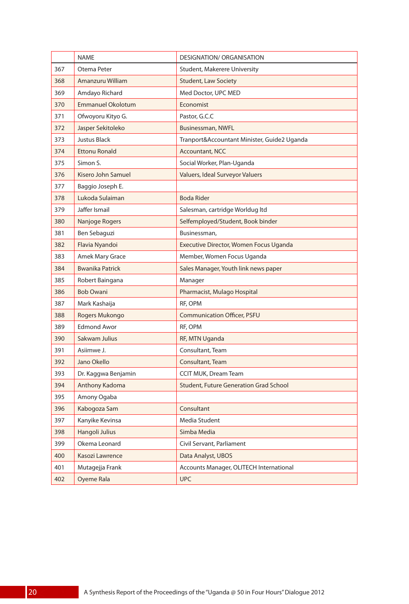|     | <b>NAME</b>              | <b>DESIGNATION/ ORGANISATION</b>              |
|-----|--------------------------|-----------------------------------------------|
| 367 | Otema Peter              | <b>Student, Makerere University</b>           |
| 368 | Amanzuru William         | <b>Student, Law Society</b>                   |
| 369 | Amdayo Richard           | Med Doctor, UPC MED                           |
| 370 | <b>Emmanuel Okolotum</b> | Economist                                     |
| 371 | Ofwoyoru Kityo G.        | Pastor, G.C.C                                 |
| 372 | Jasper Sekitoleko        | Businessman, NWFL                             |
| 373 | Justus Black             | Tranport&Accountant Minister, Guide2 Uganda   |
| 374 | <b>Ettonu Ronald</b>     | <b>Accountant, NCC</b>                        |
| 375 | Simon S.                 | Social Worker, Plan-Uganda                    |
| 376 | Kisero John Samuel       | Valuers, Ideal Surveyor Valuers               |
| 377 | Baggio Joseph E.         |                                               |
| 378 | Lukoda Sulaiman          | <b>Boda Rider</b>                             |
| 379 | Jaffer Ismail            | Salesman, cartridge Worldug Itd               |
| 380 | Nanjoge Rogers           | Selfemployed/Student, Book binder             |
| 381 | Ben Sebaguzi             | Businessman,                                  |
| 382 | Flavia Nyandoi           | Executive Director, Women Focus Uganda        |
| 383 | Amek Mary Grace          | Member, Women Focus Uganda                    |
| 384 | <b>Bwanika Patrick</b>   | Sales Manager, Youth link news paper          |
| 385 | Robert Baingana          | Manager                                       |
| 386 | <b>Bob Owani</b>         | Pharmacist, Mulago Hospital                   |
| 387 | Mark Kashaija            | RF, OPM                                       |
| 388 | Rogers Mukongo           | <b>Communication Officer, PSFU</b>            |
| 389 | <b>Edmond Awor</b>       | RF, OPM                                       |
| 390 | Sakwam Julius            | RF, MTN Uganda                                |
| 391 | Asiimwe J.               | Consultant, Team                              |
| 392 | Jano Okello              | Consultant, Team                              |
| 393 | Dr. Kaggwa Benjamin      | <b>CCIT MUK, Dream Team</b>                   |
| 394 | Anthony Kadoma           | <b>Student, Future Generation Grad School</b> |
| 395 | Amony Ogaba              |                                               |
| 396 | Kabogoza Sam             | Consultant                                    |
| 397 | Kanyike Kevinsa          | Media Student                                 |
| 398 | Hangoli Julius           | Simba Media                                   |
| 399 | Okema Leonard            | Civil Servant, Parliament                     |
| 400 | Kasozi Lawrence          | Data Analyst, UBOS                            |
| 401 | Mutagejja Frank          | Accounts Manager, OLITECH International       |
| 402 | Oyeme Rala               | <b>UPC</b>                                    |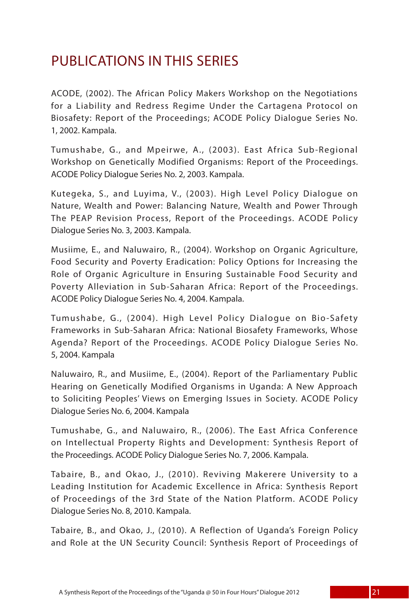### PUBLICATIONS IN THIS SERIES

ACODE, (2002). The African Policy Makers Workshop on the Negotiations for a Liability and Redress Regime Under the Cartagena Protocol on Biosafety: Report of the Proceedings; ACODE Policy Dialogue Series No. 1, 2002. Kampala.

Tumushabe, G., and Mpeirwe, A., (2003). East Africa Sub-Regional Workshop on Genetically Modified Organisms: Report of the Proceedings. ACODE Policy Dialogue Series No. 2, 2003. Kampala.

Kutegeka, S., and Luyima, V., (2003). High Level Policy Dialogue on Nature, Wealth and Power: Balancing Nature, Wealth and Power Through The PEAP Revision Process, Report of the Proceedings. ACODE Policy Dialogue Series No. 3, 2003. Kampala.

Musiime, E., and Naluwairo, R., (2004). Workshop on Organic Agriculture, Food Security and Poverty Eradication: Policy Options for Increasing the Role of Organic Agriculture in Ensuring Sustainable Food Security and Poverty Alleviation in Sub-Saharan Africa: Report of the Proceedings. ACODE Policy Dialogue Series No. 4, 2004. Kampala.

Tumushabe, G., (2004). High Level Policy Dialogue on Bio-Safety Frameworks in Sub-Saharan Africa: National Biosafety Frameworks, Whose Agenda? Report of the Proceedings. ACODE Policy Dialogue Series No. 5, 2004. Kampala

Naluwairo, R., and Musiime, E., (2004). Report of the Parliamentary Public Hearing on Genetically Modified Organisms in Uganda: A New Approach to Soliciting Peoples' Views on Emerging Issues in Society. ACODE Policy Dialogue Series No. 6, 2004. Kampala

Tumushabe, G., and Naluwairo, R., (2006). The East Africa Conference on Intellectual Property Rights and Development: Synthesis Report of the Proceedings. ACODE Policy Dialogue Series No. 7, 2006. Kampala.

Tabaire, B., and Okao, J., (2010). Reviving Makerere University to a Leading Institution for Academic Excellence in Africa: Synthesis Report of Proceedings of the 3rd State of the Nation Platform. ACODE Policy Dialogue Series No. 8, 2010. Kampala.

Tabaire, B., and Okao, J., (2010). A Reflection of Uganda's Foreign Policy and Role at the UN Security Council: Synthesis Report of Proceedings of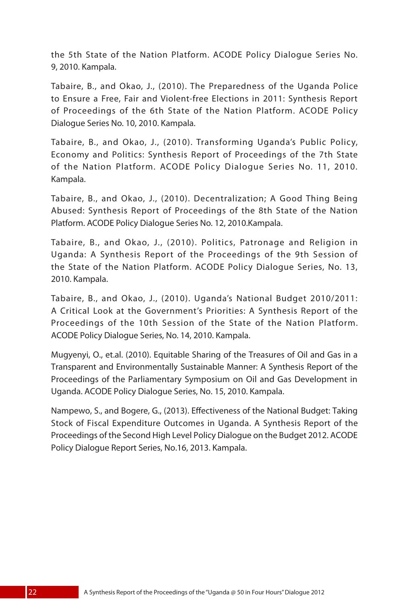the 5th State of the Nation Platform. ACODE Policy Dialogue Series No. 9, 2010. Kampala.

Tabaire, B., and Okao, J., (2010). The Preparedness of the Uganda Police to Ensure a Free, Fair and Violent-free Elections in 2011: Synthesis Report of Proceedings of the 6th State of the Nation Platform. ACODE Policy Dialogue Series No. 10, 2010. Kampala.

Tabaire, B., and Okao, J., (2010). Transforming Uganda's Public Policy, Economy and Politics: Synthesis Report of Proceedings of the 7th State of the Nation Platform. ACODE Policy Dialogue Series No. 11, 2010. Kampala.

Tabaire, B., and Okao, J., (2010). Decentralization; A Good Thing Being Abused: Synthesis Report of Proceedings of the 8th State of the Nation Platform. ACODE Policy Dialogue Series No. 12, 2010.Kampala.

Tabaire, B., and Okao, J., (2010). Politics, Patronage and Religion in Uganda: A Synthesis Report of the Proceedings of the 9th Session of the State of the Nation Platform. ACODE Policy Dialogue Series, No. 13, 2010. Kampala.

Tabaire, B., and Okao, J., (2010). Uganda's National Budget 2010/2011: A Critical Look at the Government's Priorities: A Synthesis Report of the Proceedings of the 10th Session of the State of the Nation Platform. ACODE Policy Dialogue Series, No. 14, 2010. Kampala.

Mugyenyi, O., et.al. (2010). Equitable Sharing of the Treasures of Oil and Gas in a Transparent and Environmentally Sustainable Manner: A Synthesis Report of the Proceedings of the Parliamentary Symposium on Oil and Gas Development in Uganda. ACODE Policy Dialogue Series, No. 15, 2010. Kampala.

Nampewo, S., and Bogere, G., (2013). Effectiveness of the National Budget: Taking Stock of Fiscal Expenditure Outcomes in Uganda. A Synthesis Report of the Proceedings of the Second High Level Policy Dialogue on the Budget 2012. ACODE Policy Dialogue Report Series, No.16, 2013. Kampala.